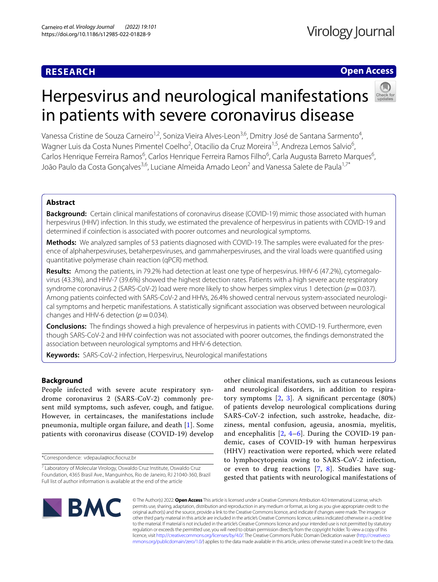## **RESEARCH**

Virology Journal

## **Open Access**

# Herpesvirus and neurological manifestations in patients with severe coronavirus disease

Vanessa Cristine de Souza Carneiro<sup>1,2</sup>, Soniza Vieira Alves-Leon<sup>3,6</sup>, Dmitry José de Santana Sarmento<sup>4</sup>, Wagner Luis da Costa Nunes Pimentel Coelho<sup>2</sup>, Otacilio da Cruz Moreira<sup>1,5</sup>, Andreza Lemos Salvio<sup>6</sup>, Carlos Henrique Ferreira Ramos<sup>6</sup>, Carlos Henrique Ferreira Ramos Filho<sup>6</sup>, Carla Augusta Barreto Marques<sup>6</sup>, João Paulo da Costa Goncalves<sup>3,6</sup>, Luciane Almeida Amado Leon<sup>2</sup> and Vanessa Salete de Paula<sup>1,7\*</sup>

## **Abstract**

**Background:** Certain clinical manifestations of coronavirus disease (COVID-19) mimic those associated with human herpesvirus (HHV) infection. In this study, we estimated the prevalence of herpesvirus in patients with COVID-19 and determined if coinfection is associated with poorer outcomes and neurological symptoms.

**Methods:** We analyzed samples of 53 patients diagnosed with COVID-19. The samples were evaluated for the presence of alphaherpesviruses, betaherpesviruses, and gammaherpesviruses, and the viral loads were quantifed using quantitative polymerase chain reaction (qPCR) method.

**Results:** Among the patients, in 79.2% had detection at least one type of herpesvirus. HHV-6 (47.2%), cytomegalo‑ virus (43.3%), and HHV-7 (39.6%) showed the highest detection rates. Patients with a high severe acute respiratory syndrome coronavirus 2 (SARS-CoV-2) load were more likely to show herpes simplex virus 1 detection (*p*=0.037). Among patients coinfected with SARS-CoV-2 and HHVs, 26.4% showed central nervous system-associated neurological symptoms and herpetic manifestations. A statistically signifcant association was observed between neurological changes and HHV-6 detection ( $p=0.034$ ).

**Conclusions:** The fndings showed a high prevalence of herpesvirus in patients with COVID-19. Furthermore, even though SARS-CoV-2 and HHV coinfection was not associated with poorer outcomes, the fndings demonstrated the association between neurological symptoms and HHV-6 detection.

**Keywords:** SARS-CoV-2 infection, Herpesvirus, Neurological manifestations

## **Background**

People infected with severe acute respiratory syndrome coronavirus 2 (SARS-CoV-2) commonly present mild symptoms, such asfever, cough, and fatigue. However, in certaincases, the manifestations include pneumonia, multiple organ failure, and death [[1\]](#page-7-0). Some patients with coronavirus disease (COVID-19) develop

other clinical manifestations, such as cutaneous lesions and neurological disorders, in addition to respiratory symptoms [[2,](#page-7-1) [3\]](#page-7-2). A signifcant percentage (80%) of patients develop neurological complications during SARS-CoV-2 infection, such asstroke, headache, dizziness, mental confusion, ageusia, anosmia, myelitis, and encephalitis [[2,](#page-7-1) [4–](#page-7-3)[6\]](#page-7-4). During the COVID-19 pandemic, cases of COVID-19 with human herpesvirus (HHV) reactivation were reported, which were related to lymphocytopenia owing to SARS-CoV-2 infection, or even to drug reactions [[7](#page-7-5), [8\]](#page-7-6). Studies have suggested that patients with neurological manifestations of



© The Author(s) 2022. **Open Access** This article is licensed under a Creative Commons Attribution 4.0 International License, which permits use, sharing, adaptation, distribution and reproduction in any medium or format, as long as you give appropriate credit to the original author(s) and the source, provide a link to the Creative Commons licence, and indicate if changes were made. The images or other third party material in this article are included in the article's Creative Commons licence, unless indicated otherwise in a credit line to the material. If material is not included in the article's Creative Commons licence and your intended use is not permitted by statutory regulation or exceeds the permitted use, you will need to obtain permission directly from the copyright holder. To view a copy of this licence, visit [http://creativecommons.org/licenses/by/4.0/.](http://creativecommons.org/licenses/by/4.0/) The Creative Commons Public Domain Dedication waiver ([http://creativeco](http://creativecommons.org/publicdomain/zero/1.0/) [mmons.org/publicdomain/zero/1.0/](http://creativecommons.org/publicdomain/zero/1.0/)) applies to the data made available in this article, unless otherwise stated in a credit line to the data.

<sup>\*</sup>Correspondence: vdepaula@ioc.focruz.br

<sup>&</sup>lt;sup>7</sup> Laboratory of Molecular Virology, Oswaldo Cruz Institute, Oswaldo Cruz Foundation, 4365 Brasil Ave., Manguinhos, Rio de Janeiro, RJ 21040‑360, Brazil Full list of author information is available at the end of the article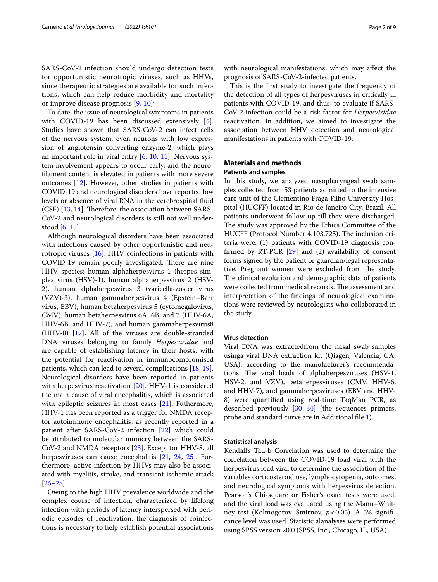SARS-CoV-2 infection should undergo detection tests for opportunistic neurotropic viruses, such as HHVs, since therapeutic strategies are available for such infections, which can help reduce morbidity and mortality or improve disease prognosis [\[9](#page-7-7), [10](#page-7-8)] .

To date, the issue of neurological symptoms in patients with COVID-19 has been discussed extensively [\[5](#page-7-9)]. Studies have shown that SARS-CoV-2 can infect cells of the nervous system, even neurons with low expression of angiotensin converting enzyme-2, which plays an important role in viral entry [\[6](#page-7-4), [10](#page-7-8), [11](#page-7-10)]. Nervous system involvement appears to occur early, and the neuroflament content is elevated in patients with more severe outcomes [[12](#page-7-11)]. However, other studies in patients with COVID-19 and neurological disorders have reported low levels or absence of viral RNA in the cerebrospinal fuid (CSF)  $[13, 14]$  $[13, 14]$  $[13, 14]$  $[13, 14]$  $[13, 14]$ . Therefore, the association between SARS-CoV-2 and neurological disorders is still not well understood [\[6,](#page-7-4) [15](#page-7-14)].

Although neurological disorders have been associated with infections caused by other opportunistic and neurotropic viruses [\[16](#page-7-15)], HHV coinfections in patients with COVID-19 remain poorly investigated. There are nine HHV species: human alphaherpesvirus 1 (herpes simplex virus (HSV)-1), human alphaherpesvirus 2 (HSV-2), human alphaherpesvirus 3 (varicella-zoster virus (VZV)-3), human gammaherpesvirus 4 (Epstein–Barr virus, EBV), human betaherpesvirus 5 (cytomegalovirus, CMV), human betaherpesvirus 6A, 6B, and 7 (HHV-6A, HHV-6B, and HHV-7), and human gammaherpesvirus8 (HHV-8) [[17\]](#page-7-16). All of the viruses are double-stranded DNA viruses belonging to family *Herpesviridae* and are capable of establishing latency in their hosts, with the potential for reactivation in immunocompromised patients, which can lead to several complications [[18,](#page-7-17) [19](#page-7-18)]. Neurological disorders have been reported in patients with herpesvirus reactivation [\[20](#page-7-19)]. HHV-1 is considered the main cause of viral encephalitis, which is associated with epileptic seizures in most cases [\[21](#page-7-20)]. Futhermore, HHV-1 has been reported as a trigger for NMDA receptor autoimmune encephalitis, as recently reported in a patient after SARS-CoV-2 infection [\[22](#page-7-21)] which could be attributed to molecular mimicry between the SARS-CoV-2 and NMDA receptors [[23\]](#page-7-22). Except for HHV-8, all herpesviruses can cause encephalitis [\[21](#page-7-20), [24,](#page-7-23) [25](#page-7-24)]. Furthermore, active infection by HHVs may also be associated with myelitis, stroke, and transient ischemic attack  $[26-28]$  $[26-28]$  $[26-28]$ .

Owing to the high HHV prevalence worldwide and the complex course of infection, characterized by lifelong infection with periods of latency interspersed with periodic episodes of reactivation, the diagnosis of coinfections is necessary to help establish potential associations with neurological manifestations, which may afect the prognosis of SARS-CoV-2-infected patients.

This is the first study to investigate the frequency of the detection of all types of herpesviruses in critically ill patients with COVID-19, and thus, to evaluate if SARS-CoV-2 infection could be a risk factor for *Herpesviridae* reactivation. In addition, we aimed to investigate the association between HHV detection and neurological manifestations in patients with COVID-19.

## **Materials and methods**

### **Patients and samples**

In this study, we analyzed nasopharyngeal swab samples collected from 53 patients admitted to the intensive care unit of the Clementino Fraga Filho University Hospital (HUCFF) located in Rio de Janeiro City, Brazil. All patients underwent follow-up till they were discharged. The study was approved by the Ethics Committee of the HUCFF (Protocol Number 4.103.725). The inclusion criteria were: (1) patients with COVID-19 diagnosis confrmed by RT-PCR [[29](#page-7-27)] and (2) availability of consent forms signed by the patient or guardian/legal representative. Pregnant women were excluded from the study. The clinical evolution and demographic data of patients were collected from medical records. The assessment and interpretation of the fndings of neurological examinations were reviewed by neurologists who collaborated in the study.

#### **Virus detection**

Viral DNA was extractedfrom the nasal swab samples usinga viral DNA extraction kit (Qiagen, Valencia, CA, USA), according to the manufacturer's recommendations. The viral loads of alphaherpesviruses (HSV-1, HSV-2, and VZV), betaherpesviruses (CMV, HHV-6, and HHV-7), and gammaherpesviruses (EBV and HHV-8) were quantifed using real-time TaqMan PCR, as described previously [[30–](#page-7-28)[34\]](#page-8-0) (the sequences primers, probe and standard curve are in Additional fle [1](#page-6-0)).

#### **Statistical analysis**

Kendall's Tau-b Correlation was used to determine the correlation between the COVID-19 load viral with the herpesvirus load viral to determine the association of the variables corticosteroid use, lymphocytopenia, outcomes, and neurological symptoms with herpesvirus detection, Pearson's Chi-square or Fisher's exact tests were used, and the viral load was evaluated using the Mann–Whitney test (Kolmogorov–Smirnov, *p*<0.05). A 5% signifcance level was used. Statistic alanalyses were performed using SPSS version 20.0 (SPSS, Inc., Chicago, IL, USA).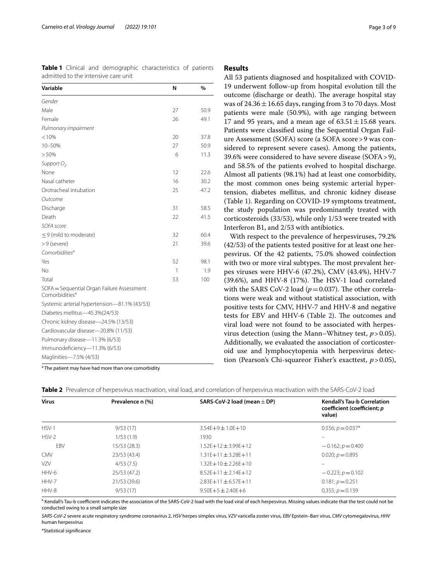<span id="page-2-0"></span>

|                                     |  |  | <b>Table 1</b> Clinical and demographic characteristics of patients |  |
|-------------------------------------|--|--|---------------------------------------------------------------------|--|
| admitted to the intensive care unit |  |  |                                                                     |  |

| Variable                                                                 | N  | $\frac{0}{0}$ |
|--------------------------------------------------------------------------|----|---------------|
|                                                                          |    |               |
| Gender                                                                   |    |               |
| Male                                                                     | 27 | 50.9          |
| Female                                                                   | 26 | 49.1          |
| Pulmonary impairment                                                     |    |               |
| < 10%                                                                    | 20 | 37.8          |
| 10-50%                                                                   | 27 | 50.9          |
| > 50%                                                                    | 6  | 11.3          |
| Support $O_2$                                                            |    |               |
| None                                                                     | 12 | 22.6          |
| Nasal catheter                                                           | 16 | 30.2          |
| Orotracheal intubation                                                   | 25 | 47.2          |
| Outcome                                                                  |    |               |
| Discharge                                                                | 31 | 58.5          |
| Death                                                                    | 22 | 41.5          |
| SOFA score                                                               |    |               |
| $\leq$ 9 (mild to moderate)                                              | 32 | 60.4          |
| >9 (severe)                                                              | 21 | 39.6          |
| Comorbidities <sup>a</sup>                                               |    |               |
| Yes                                                                      | 52 | 98.1          |
| No                                                                       | 1  | 1.9           |
| Total                                                                    | 53 | 100           |
| SOFA = Sequential Organ Failure Assessment<br>Comorbidities <sup>a</sup> |    |               |
| Systemic arterial hypertension-81.1% (43/53)                             |    |               |
| Diabetes mellitus-45.3%(24/53)                                           |    |               |
| Chronic kidney disease-24.5% (13/53)                                     |    |               |
| Cardiovascular disease-20.8% (11/53)                                     |    |               |
| Pulmonary disease-11.3% (6/53)                                           |    |               |
| Immunodeficiency-11.3% (6/53)                                            |    |               |
| Maglinities-7.5% (4/53)                                                  |    |               |

<sup>a</sup> The patient may have had more than one comorbidity

#### **Results**

All 53 patients diagnosed and hospitalized with COVID-19 underwent follow-up from hospital evolution till the outcome (discharge or death). The average hospital stay was of  $24.36 \pm 16.65$  days, ranging from 3 to 70 days. Most patients were male (50.9%), with age ranging between 17 and 95 years, and a mean age of  $63.51 \pm 15.68$  years. Patients were classifed using the Sequential Organ Failure Assessment (SOFA) score (a SOFA score>9 was considered to represent severe cases). Among the patients, 39.6% were considered to have severe disease (SOFA>9), and 58.5% of the patients evolved to hospital discharge. Almost all patients (98.1%) had at least one comorbidity, the most common ones being systemic arterial hypertension, diabetes mellitus, and chronic kidney disease (Table [1\)](#page-2-0). Regarding on COVID-19 symptoms treatment, the study population was predominantly treated with corticosteroids (33/53), while only 1/53 were treated with Interferon B1, and 2/53 with antibiotics.

With respect to the prevalence of herpesviruses, 79.2% (42/53) of the patients tested positive for at least one herpesvirus. Of the 42 patients, 75.0% showed coinfection with two or more viral subtypes. The most prevalent herpes viruses were HHV-6 (47.2%), CMV (43.4%), HHV-7  $(39.6\%)$ , and HHV-8  $(17\%)$ . The HSV-1 load correlated with the SARS CoV-2 load ( $p=0.037$ ). The other correlations were weak and without statistical association, with positive tests for CMV, HHV-7 and HHV-8 and negative tests for EBV and HHV-6 (Table [2\)](#page-2-1). The outcomes and viral load were not found to be associated with herpesvirus detection (using the Mann–Whitney test, *p*>0.05). Additionally, we evaluated the association of corticosteroid use and lymphocytopenia with herpesvirus detection (Pearson's Chi-squareor Fisher's exacttest, *p*>0.05),

| <b>Virus</b> | Prevalence n (%) | SARS-CoV-2 load (mean $\pm$ DP) | <b>Kendall's Tau-b Correlation</b><br>coefficient (coefficient; p<br>value) |
|--------------|------------------|---------------------------------|-----------------------------------------------------------------------------|
| $HSV-1$      | 9/53(17)         | $3.54E+9 \pm 1.0E+10$           | $0.556$ ; $p = 0.037*$                                                      |
| $HSV-2$      | 1/53(1.9)        | 1930                            | -                                                                           |
| EBV          | 15/53 (28.3)     | $1.52E+12 \pm 3.99E+12$         | $-0.162; p = 0.400$                                                         |
| <b>CMV</b>   | 23/53 (43.4)     | $1.31E+11 \pm 3.28E+11$         | $0.020; p = 0.895$                                                          |
| <b>VZV</b>   | 4/53(7.5)        | $1.32E+10 \pm 2.26E+10$         |                                                                             |
| HHV-6        | 25/53 (47.2)     | $8.52E+11 \pm 2.14E+12$         | $-0.223$ ; $p = 0.102$                                                      |
| HHV-7        | 21/53 (39.6)     | $2.83E+11 \pm 6.57E+11$         | $0.181; p = 0.251$                                                          |
| HHV-8        | 9/53(17)         | $9.50E + 5 \pm 2.40E + 6$       | $0.355$ ; $p = 0.139$                                                       |

<span id="page-2-1"></span>Table 2 Prevalence of herpesvirus reactivation, viral load, and correlation of herpesvirus reactivation with the SARS-CoV-2 load

<sup>a</sup> Kendall's Tau-b coefficient indicates the association of the SARS-CoV-2 load with the load viral of each herpesvirus. Missing values indicate that the test could not be conducted owing to a small sample size

*SARS-CoV-2* severe acute respiratory syndrome coronavirus 2, *HSV* herpes simplex virus, *VZV* varicella zoster virus, *EBV* Epstein–Barr virus, *CMV* cytomegalovirus, *HHV* human herpesvirus

\*Statistical signifcance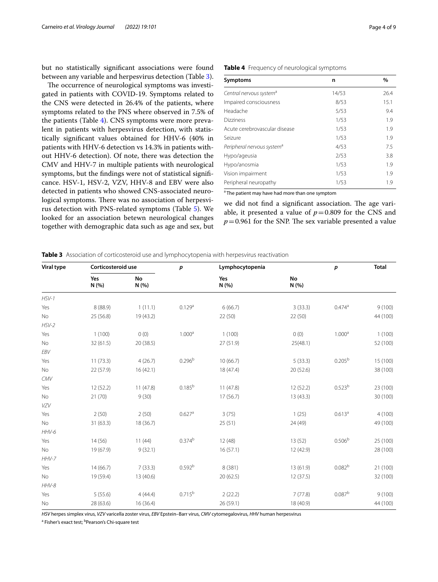but no statistically signifcant associations were found between any variable and herpesvirus detection (Table [3](#page-3-0)).

The occurrence of neurological symptoms was investigated in patients with COVID-19. Symptoms related to the CNS were detected in 26.4% of the patients, where symptoms related to the PNS where observed in 7.5% of the patients (Table [4](#page-3-1)). CNS symptoms were more prevalent in patients with herpesvirus detection, with statistically signifcant values obtained for HHV-6 (40% in patients with HHV-6 detection vs 14.3% in patients without HHV-6 detection). Of note, there was detection the CMV and HHV-7 in multiple patients with neurological symptoms, but the fndings were not of statistical signifcance. HSV-1, HSV-2, VZV, HHV-8 and EBV were also detected in patients who showed CNS-associated neurological symptoms. There was no association of herpesvirus detection with PNS-related symptoms (Table [5](#page-4-0)). We looked for an association betewn neurological changes together with demographic data such as age and sex, but

<span id="page-3-1"></span>

| Table 4 Frequency of neurological symptoms |  |
|--------------------------------------------|--|
|--------------------------------------------|--|

| Symptoms                               | n     | $\%$ |
|----------------------------------------|-------|------|
| Central nervous system <sup>a</sup>    | 14/53 | 26.4 |
| Impaired consciousness                 | 8/53  | 15.1 |
| Headache                               | 5/53  | 9.4  |
| <b>Dizziness</b>                       | 1/53  | 1.9  |
| Acute cerebrovascular disease          | 1/53  | 1.9  |
| Seizure                                | 1/53  | 1.9  |
| Peripheral nervous system <sup>a</sup> | 4/53  | 7.5  |
| Hypo/ageusia                           | 2/53  | 3.8  |
| Hypo/anosmia                           | 1/53  | 1.9  |
| Vision impairment                      | 1/53  | 1.9  |
| Peripheral neuropathy                  | 1/53  | 1.9  |

<sup>a</sup> The patient may have had more than one symptom

we did not find a significant association. The age variable, it presented a value of  $p=0.809$  for the CNS and  $p=0.961$  for the SNP. The sex variable presented a value

| Viral type | Corticosteroid use |             | $\boldsymbol{p}$     | Lymphocytopenia |            | p                    | <b>Total</b> |
|------------|--------------------|-------------|----------------------|-----------------|------------|----------------------|--------------|
|            | Yes<br>N (%)       | No<br>N (%) |                      | Yes<br>N (%)    | No<br>N(%) |                      |              |
| $HSV-1$    |                    |             |                      |                 |            |                      |              |
| Yes        | 8 (88.9)           | 1(11.1)     | 0.129a               | 6(66.7)         | 3(33.3)    | $0.474$ <sup>a</sup> | 9(100)       |
| No         | 25 (56.8)          | 19 (43.2)   |                      | 22 (50)         | 22(50)     |                      | 44 (100)     |
| $HSV-2$    |                    |             |                      |                 |            |                      |              |
| Yes        | 1(100)             | 0(0)        | 1.000 <sup>a</sup>   | 1(100)          | 0(0)       | 1.000 <sup>a</sup>   | 1(100)       |
| No         | 32(61.5)           | 20 (38.5)   |                      | 27 (51.9)       | 25(48.1)   |                      | 52 (100)     |
| EBV        |                    |             |                      |                 |            |                      |              |
| Yes        | 11(73.3)           | 4(26.7)     | 0.296 <sup>b</sup>   | 10(66.7)        | 5(33.3)    | 0.205 <sup>b</sup>   | 15 (100)     |
| No         | 22 (57.9)          | 16(42.1)    |                      | 18 (47.4)       | 20(52.6)   |                      | 38 (100)     |
| CMV        |                    |             |                      |                 |            |                      |              |
| Yes        | 12(52.2)           | 11(47.8)    | $0.185^{b}$          | 11(47.8)        | 12(52.2)   | 0.523 <sup>b</sup>   | 23 (100)     |
| No         | 21(70)             | 9(30)       |                      | 17(56.7)        | 13(43.3)   |                      | 30 (100)     |
| <b>VZV</b> |                    |             |                      |                 |            |                      |              |
| Yes        | 2(50)              | 2(50)       | $0.627$ <sup>a</sup> | 3(75)           | 1(25)      | 0.613 <sup>a</sup>   | 4(100)       |
| No         | 31(63.3)           | 18 (36.7)   |                      | 25(51)          | 24 (49)    |                      | 49 (100)     |
| HHV-6      |                    |             |                      |                 |            |                      |              |
| Yes        | 14(56)             | 11(44)      | $0.374^{b}$          | 12(48)          | 13(52)     | 0.506 <sup>b</sup>   | 25 (100)     |
| No         | 19 (67.9)          | 9(32.1)     |                      | 16(57.1)        | 12 (42.9)  |                      | 28 (100)     |
| HHV-7      |                    |             |                      |                 |            |                      |              |
| Yes        | 14(66.7)           | 7(33.3)     | 0.592 <sup>b</sup>   | 8 (381)         | 13 (61.9)  | $0.082^{b}$          | 21 (100)     |
| No         | 19 (59.4)          | 13 (40.6)   |                      | 20(62.5)        | 12(37.5)   |                      | 32 (100)     |
| HHV-8      |                    |             |                      |                 |            |                      |              |
| Yes        | 5(55.6)            | 4(44.4)     | $0.715^{b}$          | 2(22.2)         | 7(77.8)    | $0.087^{b}$          | 9(100)       |
| No         | 28 (63.6)          | 16 (36.4)   |                      | 26 (59.1)       | 18 (40.9)  |                      | 44 (100)     |

<span id="page-3-0"></span>**Table 3** Association of corticosteroid use and lymphocytopenia with herpesvirus reactivation

*HSV* herpes simplex virus, *VZV* varicella zoster virus, *EBV* Epstein–Barr virus, *CMV* cytomegalovirus, *HHV* human herpesvirus

<sup>a</sup> Fisher's exact test; <sup>b</sup>Pearson's Chi-square test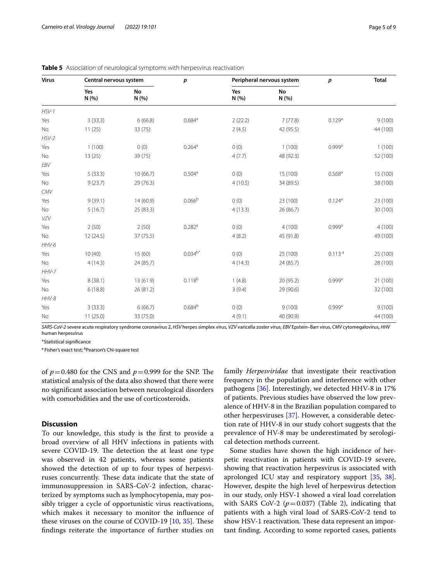| <b>Virus</b> | Central nervous system |                    | p                    |              | Peripheral nervous system |                      | <b>Total</b> |
|--------------|------------------------|--------------------|----------------------|--------------|---------------------------|----------------------|--------------|
|              | Yes<br>N (%)           | <b>No</b><br>N (%) |                      | Yes<br>N (%) | <b>No</b><br>N (%)        |                      |              |
| $HSV-1$      |                        |                    |                      |              |                           |                      |              |
| Yes          | 3(33.3)                | 6(66.8)            | $0.684^{\text{a}}$   | 2(22.2)      | 7(77.8)                   | 0.129 <sup>a</sup>   | 9(100)       |
| No           | 11(25)                 | 33(75)             |                      | 2(4.5)       | 42 (95.5)                 |                      | 44 (100)     |
| $HSV-2$      |                        |                    |                      |              |                           |                      |              |
| Yes          | 1(100)                 | 0(0)               | $0.264$ <sup>a</sup> | 0(0)         | 1(100)                    | $0.999$ <sup>a</sup> | 1(100)       |
| No           | 13(25)                 | 39 (75)            |                      | 4(7.7)       | 48 (92.3)                 |                      | 52 (100)     |
| EBV          |                        |                    |                      |              |                           |                      |              |
| Yes          | 5(33.3)                | 10(66.7)           | 0.504 <sup>a</sup>   | 0(0)         | 15 (100)                  | $0.568$ <sup>a</sup> | 15 (100)     |
| No           | 9(23.7)                | 29 (76.3)          |                      | 4(10.5)      | 34 (89.5)                 |                      | 38 (100)     |
| CMV          |                        |                    |                      |              |                           |                      |              |
| Yes          | 9(39.1)                | 14(60.9)           | 0.066 <sup>b</sup>   | 0(0)         | 23 (100)                  | $0.124^{a}$          | 23 (100)     |
| No           | 5(16.7)                | 25 (83.3)          |                      | 4(13.3)      | 26 (86.7)                 |                      | 30 (100)     |
| <b>VZV</b>   |                        |                    |                      |              |                           |                      |              |
| Yes          | 2(50)                  | 2(50)              | $0.282$ <sup>a</sup> | 0(0)         | 4(100)                    | 0.999 <sup>a</sup>   | 4(100)       |
| No           | 12(24.5)               | 37(75.5)           |                      | 4(8.2)       | 45 (91.8)                 |                      | 49 (100)     |
| HHV-6        |                        |                    |                      |              |                           |                      |              |
| Yes          | 10(40)                 | 15(60)             | $0.034^{b*}$         | 0(0)         | 25 (100)                  | 0.113 <sup>a</sup>   | 25 (100)     |
| <b>No</b>    | 4(14.3)                | 24 (85.7)          |                      | 4(14.3)      | 24 (85.7)                 |                      | 28 (100)     |
| $HHV-7$      |                        |                    |                      |              |                           |                      |              |
| Yes          | 8(38.1)                | 13 (61.9)          | $0.118^{b}$          | 1(4.8)       | 20 (95.2)                 | 0.999 <sup>a</sup>   | 21 (100)     |
| No           | 6(18.8)                | 26 (81.2)          |                      | 3(9.4)       | 29 (90.6)                 |                      | 32 (100)     |
| $HHV-8$      |                        |                    |                      |              |                           |                      |              |
| Yes          | 3(33.3)                | 6(66.7)            | $0.684^{b}$          | 0(0)         | 9(100)                    | $0.999$ <sup>a</sup> | 9(100)       |
| No           | 11(25.0)               | 33 (75.0)          |                      | 4(9.1)       | 40 (90.9)                 |                      | 44 (100)     |

<span id="page-4-0"></span>**Table 5** Association of neurological symptoms with herpesvirus reactivation

*SARS-CoV-2* severe acute respiratory syndrome coronavirus 2, *HSV* herpes simplex virus, *VZV* varicella zoster virus, *EBV* Epstein–Barr virus, *CMV* cytomegalovirus, *HHV* human herpesvirus

\*Statistical signifcance

<sup>a</sup> Fisher's exact test; <sup>b</sup>Pearson's Chi-square test

of  $p=0.480$  for the CNS and  $p=0.999$  for the SNP. The statistical analysis of the data also showed that there were no signifcant association between neurological disorders with comorbidities and the use of corticosteroids.

#### **Discussion**

To our knowledge, this study is the frst to provide a broad overview of all HHV infections in patients with severe COVID-19. The detection the at least one type was observed in 42 patients, whereas some patients showed the detection of up to four types of herpesviruses concurrently. These data indicate that the state of immunosuppression in SARS-CoV-2 infection, characterized by symptoms such as lymphocytopenia, may possibly trigger a cycle of opportunistic virus reactivations, which makes it necessary to monitor the infuence of these viruses on the course of COVID-19  $[10, 35]$  $[10, 35]$  $[10, 35]$  $[10, 35]$ . These fndings reiterate the importance of further studies on family *Herpesviridae* that investigate their reactivation frequency in the population and interference with other pathogens [[36](#page-8-2)]. Interestingly, we detected HHV-8 in 17% of patients. Previous studies have observed the low prevalence of HHV-8 in the Brazilian population compared to other herpesviruses [[37\]](#page-8-3). However, a considerable detection rate of HHV-8 in our study cohort suggests that the prevalence of HV-8 may be underestimated by serological detection methods curreent.

Some studies have shown the high incidence of herpetic reactivation in patients with COVID-19 severe, showing that reactivation herpesvirus is associated with aprolonged ICU stay and respiratory support [[35,](#page-8-1) [38](#page-8-4)]. However, despite the high level of herpesvirus detection in our study, only HSV-1 showed a viral load correlation with SARS CoV-2  $(p=0.037)$  (Table [2\)](#page-2-1), indicating that patients with a high viral load of SARS-CoV-2 tend to show HSV-1 reactivation. These data represent an important fnding. According to some reported cases, patients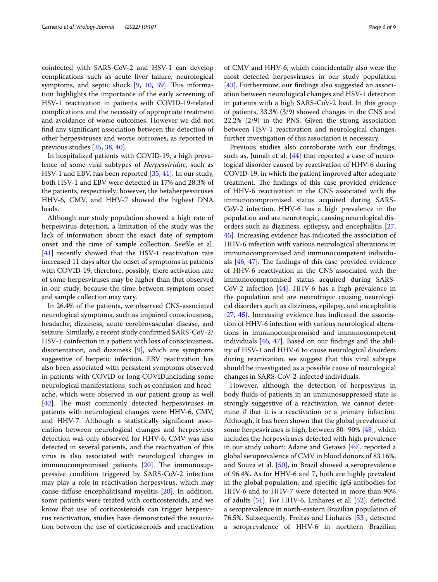coinfected with SARS-CoV-2 and HSV-1 can develop complications such as acute liver failure, neurological symptoms, and septic shock  $[9, 10, 39]$  $[9, 10, 39]$  $[9, 10, 39]$  $[9, 10, 39]$  $[9, 10, 39]$  $[9, 10, 39]$ . This information highlights the importance of the early screening of HSV-1 reactivation in patients with COVID-19-related complications and the necessity of appropriate treatment and avoidance of worse outcomes. However we did not fnd any signifcant association between the detection of other herpesviruses and worse outcomes, as reported in previous studies [\[35](#page-8-1), [38](#page-8-4), [40\]](#page-8-6).

In hospitalized patients with COVID-19, a high prevalence of some viral subtypes of *Herpesviridae*, such as HSV-1 and EBV, has been reported [\[35](#page-8-1), [41\]](#page-8-7). In our study, both HSV-1 and EBV were detected in 17% and 28.3% of the patients, respectively; however, the betaherpesviruses HHV-6, CMV, and HHV-7 showed the highest DNA loads.

Although our study population showed a high rate of herpesvirus detection, a limitation of the study was the lack of information about the exact date of symptom onset and the time of sample collection. Seeßle et al. [[41\]](#page-8-7) recently showed that the HSV-1 reactivation rate increased 11 days after the onset of symptoms in patients with COVID-19; therefore, possibly, there activation rate of some herpesviruses may be higher than that observed in our study, because the time between symptom onset and sample collection may vary.

In 26.4% of the patients, we observed CNS-associated neurological symptoms, such as impaired consciousness, headache, dizziness, acute cerebrovascular disease, and seizure. Similarly, a recent study confrmed SARS-CoV-2/ HSV-1 coinfection in a patient with loss of consciousness, disorientation, and dizziness [\[9](#page-7-7)], which are symptoms suggestive of herpetic infection. EBV reactivation has also been associated with persistent symptoms observed in patients with COVID or long COVID,including some neurological manifestations, such as confusion and headache, which were observed in our patient group as well  $[42]$  $[42]$ . The most commonly detected herpesviruses in patients with neurological changes were HHV-6, CMV, and HHV-7. Although a statistically signifcant association between neurological changes and herpesvirus detection was only observed for HHV-6, CMV was also detected in several patients, and the reactivation of this virus is also associated with neurological changes in immunocompromised patients  $[20]$  $[20]$ . The immunosuppressive condition triggered by SARS-CoV-2 infection may play a role in reactivation herpesvirus, which may cause difuse encephalitisand myelitis [\[20\]](#page-7-19). In addition, some patients were treated with corticosteroids, and we know that use of corticosteroids can trigger herpesvirus reactivation, studies have demonstrated the association between the use of corticosteroids and reactivation of CMV and HHV-6, which coincidentally also were the most detected herpesviruses in our study population [[43\]](#page-8-9). Furthermore, our findings also suggested an association between neurological changes and HSV-1 detection in patients with a high SARS-CoV-2 load. In this group of patients, 33.3% (3/9) showed changes in the CNS and 22.2% (2/9) in the PNS. Given the strong association between HSV-1 reactivation and neurological changes, further investigation of this association is necessary.

Previous studies also corroborate with our fndings, such as, Jumah et al. [[44\]](#page-8-10) that reported a case of neurological disorder caused by reactivation of HHV-6 during COVID-19, in which the patient improved after adequate treatment. The findings of this case provided evidence of HHV-6 reactivation in the CNS associated with the immunocompromised status acquired during SARS-CoV-2 infection. HHV-6 has a high prevalence in the population and are neurotropic, causing neurological disorders such as dizziness, epilepsy, and encephalitis [[27](#page-7-29), [45\]](#page-8-11). Increasing evidence has indicated the association of HHV-6 infection with various neurological alterations in immunocompromised and immunocompetent individuals  $[46, 47]$  $[46, 47]$  $[46, 47]$ . The findings of this case provided evidence of HHV-6 reactivation in the CNS associated with the immunocompromised status acquired during SARS-CoV-2 infection [\[44\]](#page-8-10). HHV-6 has a high prevalence in the population and are neurotropic causing neurological disorders such as dizziness, epilepsy, and encephalitis [[27,](#page-7-29) [45\]](#page-8-11). Increasing evidence has indicated the association of HHV-6 infection with various neurological alterations in immunocompromised and immunocompetent individuals [\[46,](#page-8-12) [47](#page-8-13)]. Based on our fndings and the ability of HSV-1 and HHV-6 to cause neurological disorders during reactivation, we suggest that this viral subtype should be investigated as a possible cause of neurological changes in SARS-CoV-2-infected individuals.

However, although the detection of herpesvirus in body fuids of patients in an immunosuppressed state is strongly suggestive of a reactivation, we cannot determine if that it is a reactivation or a primary infection. Although, it has been shown that the global prevalence of some herpesviruses is high, between 80- 90% [[48\]](#page-8-14), which includes the herpesviruses detected with high prevalence in our study cohort: Adane and Getawa [[49\]](#page-8-15), reported a global seroprevalence of CMV in blood donors of 83.16%, and Souza et al. [\[50\]](#page-8-16), in Brazil showed a seroprevalence of 96.4%. As for HHV-6 and 7, both are highly prevalent in the global population, and specifc IgG antibodies for HHV-6 and to HHV-7 were detected in more than 90% of adults [\[51](#page-8-17)]. For HHV-6, Linhares et al. [[52\]](#page-8-18), detected a seroprevalence in north-eastern Brazilian population of 76.5%. Subsequently, Freitas and Linhares [[53\]](#page-8-19), detected a seroprevalence of HHV-6 in northern Brazilian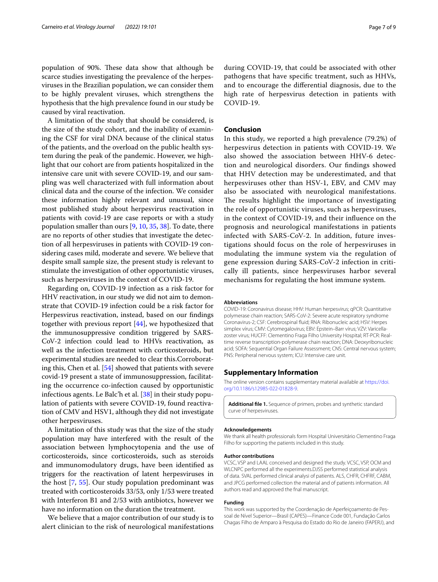population of 90%. These data show that although be scarce studies investigating the prevalence of the herpesviruses in the Brazilian population, we can consider them to be highly prevalent viruses, which strengthens the hypothesis that the high prevalence found in our study be caused by viral reactivation.

A limitation of the study that should be considered, is the size of the study cohort, and the inability of examining the CSF for viral DNA because of the clinical status of the patients, and the overload on the public health system during the peak of the pandemic. However, we highlight that our cohort are from patients hospitalized in the intensive care unit with severe COVID-19, and our sampling was well characterized with full information about clinical data and the course of the infection. We consider these information highly relevant and unusual, since most published study about herpesvirus reactivation in patients with covid-19 are case reports or with a study population smaller than ours [[9](#page-7-7), [10,](#page-7-8) [35,](#page-8-1) [38](#page-8-4)]. To date, there are no reports of other studies that investigate the detection of all herpesviruses in patients with COVID-19 considering cases mild, moderate and severe. We believe that despite small sample size, the present study is relevant to stimulate the investigation of other opportunistic viruses, such as herpesviruses in the context of COVID-19.

Regarding on, COVID-19 infection as a risk factor for HHV reactivation, in our study we did not aim to demonstrate that COVID-19 infection could be a risk factor for Herpesvirus reactivation, instead, based on our fndings together with previous report [[44\]](#page-8-10), we hypothesized that the immunosuppressive condition triggered by SARS-CoV-2 infection could lead to HHVs reactivation, as well as the infection treatment with corticosteroids, but experimental studies are needed to clear this.Corroborating this, Chen et al. [[54](#page-8-20)] showed that patients with severe covid-19 present a state of immunosuppression, facilitating the occurrence co-infection caused by opportunistic infectious agents. Le Balc'h et al. [\[38](#page-8-4)] in their study population of patients with severe COVID-19, found reactivation of CMV and HSV1, although they did not investigate other herpesviruses.

A limitation of this study was that the size of the study population may have interfered with the result of the association between lymphocytopenia and the use of corticosteroids, since corticosteroids, such as steroids and immunomodulatory drugs, have been identifed as triggers for the reactivation of latent herpesviruses in the host [[7,](#page-7-5) [55](#page-8-21)]. Our study population predominant was treated with corticosteroids 33/53, only 1/53 were treated with Interferon B1 and 2/53 with antibiotcs, however we have no information on the duration the treatment.

We believe that a major contribution of our study is to alert clinician to the risk of neurological manifestations during COVID-19, that could be associated with other pathogens that have specifc treatment, such as HHVs, and to encourage the diferential diagnosis, due to the high rate of herpesvirus detection in patients with COVID-19.

#### **Conclusion**

In this study, we reported a high prevalence (79.2%) of herpesvirus detection in patients with COVID-19. We also showed the association between HHV-6 detection and neurological disorders. Our fndings showed that HHV detection may be underestimated, and that herpesviruses other than HSV-1, EBV, and CMV may also be associated with neurological manifestations. The results highlight the importance of investigating the role of opportunistic viruses, such as herpesviruses, in the context of COVID-19, and their infuence on the prognosis and neurological manifestations in patients infected with SARS-CoV-2. In addition, future investigations should focus on the role of herpesviruses in modulating the immune system via the regulation of gene expression during SARS-CoV-2 infection in critically ill patients, since herpesviruses harbor several mechanisms for regulating the host immune system.

#### **Abbreviations**

COVID-19: Coronavirus disease; HHV: Human herpesvirus; qPCR: Quantitative polymerase chain reaction; SARS-CoV-2: Severe acute respiratory syndrome Coronavirus-2; CSF: Cerebrospinal fuid; RNA: Ribonucleic acid; HSV: Herpes simplex vírus; CMV: Cytomegalovirus; EBV: Epstein–Barr vírus; VZV: Varicellazoster virus; HUCFF: Clementino Fraga Filho University Hospital; RT-PCR: Realtime reverse transcription-polymerase chain reaction; DNA: Deoxyribonucleic acid; SOFA: Sequential Organ Failure Assessment; CNS: Central nervous system; PNS: Peripheral nervous system; ICU: Intensive care unit.

#### **Supplementary Information**

The online version contains supplementary material available at [https://doi.](https://doi.org/10.1186/s12985-022-01828-9) [org/10.1186/s12985-022-01828-9](https://doi.org/10.1186/s12985-022-01828-9).

<span id="page-6-0"></span>**Additional fle 1.** Sequence of primers, probes and synthetic standard curve of herpesviruses.

#### **Acknowledgements**

We thank all health professionals form Hospital Universitário Clementino Fraga Filho for supporting the patients included in this study.

#### **Author contributions**

VCSC, VSP and LAAL conceived and designed the study. VCSC, VSP, OCM and WLCNPC performed all the experiments.DJSS performed statistical analysis of data. SVAL performed clinical analysi of patients. ALS, CHFR, CHFRF, CABM, and JPCG performed collection the material and of patients information. All authors read and approved the fnal manuscript.

#### **Funding**

This work was supported by the Coordenação de Aperfeiçoamento de Pessoal de Nível Superior—Brasil (CAPES)—Finance Code 001, Fundação Carlos Chagas Filho de Amparo à Pesquisa do Estado do Rio de Janeiro (FAPERJ), and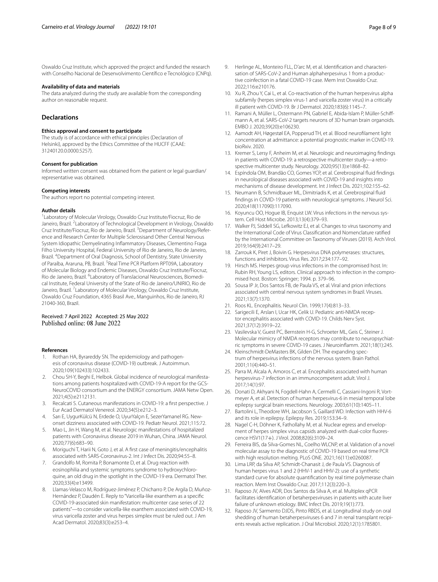Oswaldo Cruz Institute, which approved the project and funded the research with Conselho Nacional de Desenvolvimento Científco e Tecnológico (CNPq).

#### **Availability of data and materials**

The data analyzed during the study are available from the corresponding author on reasonable request.

#### **Declarations**

#### **Ethics approval and consent to participate**

The study is of accordance with ethical principles (Declaration of Helsinki), approved by the Ethics Committee of the HUCFF (CAAE: 31240120.0.0000.5257).

#### **Consent for publication**

Informed written consent was obtained from the patient or legal guardian/ representative was obtained.

#### **Competing interests**

The authors report no potential competing interest.

#### **Author details**

<sup>1</sup> Laboratory of Molecular Virology, Oswaldo Cruz Institute/Fiocruz, Rio de Janeiro, Brazil. <sup>2</sup> Laboratory of Technological Development in Virology, Oswaldo Cruz Institute/Fiocruz, Rio de Janeiro, Brazil. <sup>3</sup> Department of Neurology/Reference and Research Center for Multiple Sclerosisand Other Central Nervous System Idiopathic Demyelinating Infammatory Diseases, Clementino Fraga Filho University Hospital, Federal University of Rio de Janeiro, Rio de Janeiro, Brazil. 4 Department of Oral Diagnosis, School of Dentistry, State University of Paraíba, Araruna, PB, Brazil. <sup>5</sup> Real Time PCR Platform RPT09A, Laboratory of Molecular Biology and Endemic Diseases, Oswaldo Cruz Institute/Fiocruz, Rio de Janeiro, Brazil. <sup>6</sup> Laboratory of Translacional Neurosciences, Biomedical Institute, Federal University of the State of Rio de Janeiro/UNIRIO, Rio de Janeiro, Brazil.<sup>7</sup> Laboratory of Molecular Virology, Oswaldo Cruz Institute, Oswaldo Cruz Foundation, 4365 Brasil Ave., Manguinhos, Rio de Janeiro, RJ 21040‑360, Brazil.

Received: 7 April 2022 Accepted: 25 May 2022<br>Published online: 08 June 2022

#### **References**

- <span id="page-7-0"></span>1. Rothan HA, Byrareddy SN. The epidemiology and pathogenesis of coronavirus disease (COVID-19) outbreak. J Autoimmun. 2020;109(102433):102433.
- <span id="page-7-1"></span>2. Chou SH-Y, Beghi E, Helbok. Global incidence of neurological manifestations among patients hospitalized with COVID-19-A report for the GCS-NeuroCOVID consortium and the ENERGY consortium. JAMA Netw Open. 2021;4(5):e2112131.
- <span id="page-7-2"></span>3. Recalcati S. Cutaneous manifestations in COVID-19: a frst perspective. J Eur Acad Dermatol Venereol. 2020;34(5):e212–3.
- <span id="page-7-3"></span>4. Sarı E, UygurKülcü N, Erdede O, UyurYalçın E, SezerYamanel RG. Newonset dizziness associated with COVID-19. Pediatr Neurol. 2021;115:72.
- <span id="page-7-9"></span>5. Mao L, Jin H, Wang M, et al. Neurologic manifestations of hospitalized patients with Coronavirus disease 2019 in Wuhan, China. JAMA Neurol. 2020;77(6):683–90.
- <span id="page-7-4"></span>6. Moriguchi T, Harii N, Goto J, et al. A frst case of meningitis/encephalitis associated with SARS-Coronavirus-2. Int J Infect Dis. 2020;94:55–8.
- <span id="page-7-5"></span>7. Grandolfo M, Romita P, Bonamonte D, et al. Drug reaction with eosinophilia and systemic symptoms syndrome to hydroxychloroquine, an old drug in the spotlight in the COVID-19 era. Dermatol Ther. 2020;33(4):e13499.
- <span id="page-7-6"></span>8. Llamas-Velasco M, Rodríguez-Jiménez P, Chicharro P, De Argila D, Muñoz-Hernández P, Daudén E. Reply to "Varicella-like exanthem as a specifc COVID-19-associated skin manifestation: multicenter case series of 22 patients"—to consider varicella-like exanthem associated with COVID-19, virus varicella zoster and virus herpes simplex must be ruled out. J Am Acad Dermatol. 2020;83(3):e253–4.
- <span id="page-7-7"></span>9. Herlinge AL, Monteiro FLL, D'arc M, et al. Identification and characterisation of SARS-CoV-2 and Human alphaherpesvirus 1 from a productive coinfection in a fatal COVID-19 case. Mem Inst Oswaldo Cruz. 2022;116:e210176.
- <span id="page-7-8"></span>10. Xu R, Zhou Y, Cai L, et al. Co-reactivation of the human herpesvirus alpha subfamily (herpes simplex virus-1 and varicella zoster virus) in a critically ill patient with COVID-19. Br J Dermatol. 2020;183(6):1145–7.
- <span id="page-7-10"></span>11. Ramani A, Müller L, Ostermann PN, Gabriel E, Abida-Islam P, Müller-Schiffmann A, et al. SARS-CoV-2 targets neurons of 3D human brain organoids. EMBO J. 2020;39(20):e106230.
- <span id="page-7-11"></span>12. Aamodt AH, Høgestøl EA, Popperud TH, et al. Blood neuroflament light concentration at admittance: a potential prognostic marker in COVID-19. bioRxiv. 2020.
- <span id="page-7-12"></span>13. Kremer S, Lersy F, Anheim M, et al. Neurologic and neuroimaging fndings in patients with COVID-19: a retrospective multicenter study-a retrospective multicenter study. Neurology. 2020;95(13):e1868–82.
- <span id="page-7-13"></span>14. Espíndola OM, Brandão CO, Gomes YCP, et al. Cerebrospinal fuid fndings in neurological diseases associated with COVID-19 and insights into mechanisms of disease development. Int J Infect Dis. 2021;102:155–62.
- <span id="page-7-14"></span>15. Neumann B, Schmidbauer ML, Dimitriadis K, et al. Cerebrospinal fuid fndings in COVID-19 patients with neurological symptoms. J Neurol Sci. 2020;418(117090):117090.
- <span id="page-7-15"></span>16. Koyuncu OO, Hogue IB, Enquist LW. Virus infections in the nervous system. Cell Host Microbe. 2013;13(4):379–93.
- <span id="page-7-16"></span>17. Walker PJ, Siddell SG, Lefkowitz EJ, et al. Changes to virus taxonomy and the International Code of Virus Classifcation and Nomenclature ratifed by the International Committee on Taxonomy of Viruses (2019). Arch Virol. 2019;164(9):2417–29.
- <span id="page-7-17"></span>18. Zarrouk K, Piret J, Boivin G. Herpesvirus DNA polymerases: structures, functions and inhibitors. Virus Res. 2017;234:177–92.
- <span id="page-7-18"></span>19. Hirsch MS. Herpes group virus infections in the compromised host. In: Rubin RH, Young LS, editors. Clinical approach to infection in the compromised host. Boston: Springer; 1994. p. 379–96.
- <span id="page-7-19"></span>20. Sousa IP Jr, Dos Santos FB, de Paula VS, et al. Viral and prion infections associated with central nervous system syndromes in Brazil. Viruses. 2021;13(7):1370.
- <span id="page-7-20"></span>21. Roos KL. Encephalitis. Neurol Clin. 1999;17(4):813–33.
- <span id="page-7-21"></span>22. Sarigecili E, Arslan I, Ucar HK, Celik U. Pediatric anti-NMDA receptor encephalitis associated with COVID-19. Childs Nerv Syst. 2021;37(12):3919–22.
- <span id="page-7-22"></span>23. Vasilevska V, Guest PC, Bernstein H-G, Schroeter ML, Geis C, Steiner J. Molecular mimicry of NMDA receptors may contribute to neuropsychiatric symptoms in severe COVID-19 cases. J Neuroinfamm. 2021;18(1):245.
- <span id="page-7-23"></span>24. Kleinschmidt-DeMasters BK, Gilden DH. The expanding spectrum of herpesvirus infections of the nervous system. Brain Pathol. 2001;11(4):440–51.
- <span id="page-7-24"></span>25. Parra M, Alcala A, Amoros C, et al. Encephalitis associated with human herpesvirus-7 infection in an immunocompetent adult. Virol J. 2017;14(1):97.
- <span id="page-7-25"></span>26. Donati D, Akhyani N, Fogdell-Hahn A, Cermelli C, Cassiani-Ingoni R, Vortmeyer A, et al. Detection of human herpesvirus-6 in mesial temporal lobe epilepsy surgical brain resections. Neurology. 2003;61(10):1405–11.
- <span id="page-7-29"></span>27. Bartolini L, Theodore WH, Jacobson S, Gaillard WD. Infection with HHV-6 and its role in epilepsy. Epilepsy Res. 2019;153:34–9.
- <span id="page-7-26"></span>28. Nagel C-H, Döhner K, Fathollahy M, et al. Nuclear egress and envelopment of herpes simplex virus capsids analyzed with dual-color fluorescence HSV1(17+). J Virol. 2008;82(6):3109–24.
- <span id="page-7-27"></span>29. Ferreira BIS, da Silva-Gomes NL, Coelho WLCNP, et al. Validation of a novel molecular assay to the diagnostic of COVID-19 based on real time PCR with high resolution melting. PLoS ONE. 2021;16(11):e0260087.
- <span id="page-7-28"></span>30. Lima LRP, da Silva AP, Schmidt-Chanasit J, de Paula VS. Diagnosis of human herpes virus 1 and 2 (HHV-1 and HHV-2): use of a synthetic standard curve for absolute quantifcation by real time polymerase chain reaction. Mem Inst Oswaldo Cruz. 2017;112(3):220–3.
- 31. Raposo JV, Alves ADR, Dos Santos da Silva A, et al. Multiplex qPCR facilitates identifcation of betaherpesviruses in patients with acute liver failure of unknown etiology. BMC Infect Dis. 2019;19(1):773.
- 32. Raposo JV, Sarmento DJDS, Pinto RBDS, et al. Longitudinal study on oral shedding of human betaherpesviruses 6 and 7 in renal transplant recipients reveals active replication. J Oral Microbiol. 2020;12(1):1785801.